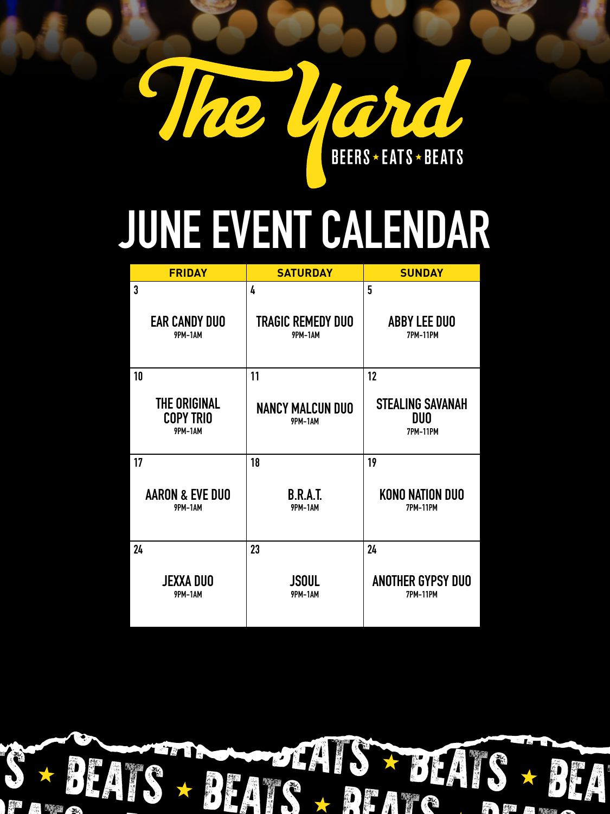

# **JUNE EVENT CALENDAR**

| <b>FRIDAY</b>                                      | <b>SATURDAY</b>                           | <b>SUNDAY</b>                                            |
|----------------------------------------------------|-------------------------------------------|----------------------------------------------------------|
| 3                                                  | 4                                         | 5                                                        |
| <b>EAR CANDY DUO</b><br><b>9PM-1AM</b>             | <b>TRAGIC REMEDY DUO</b><br>9PM-1AM       | <b>ABBY LEE DUO</b><br><b>7PM-11PM</b>                   |
| 10                                                 | 11                                        | 12                                                       |
| THE ORIGINAL<br><b>COPY TRIO</b><br><b>9PM-1AM</b> | <b>NANCY MALCUN DUO</b><br><b>9PM-1AM</b> | <b>STEALING SAVANAH</b><br><b>DUO</b><br><b>7PM-11PM</b> |
| 17                                                 | 18                                        | 19                                                       |
| <b>AARON &amp; EVE DUO</b><br>9PM-1AM              | <b>B.R.A.T.</b><br><b>9PM-1AM</b>         | <b>KONO NATION DUO</b><br><b>7PM-11PM</b>                |
| 24                                                 | 23                                        | 24                                                       |
| JEXXA DUO<br>9PM-1AM                               | <b>JSOUL</b><br>9PM-1AM                   | <b>ANOTHER GYPSY DUO</b><br><b>7PM-11PM</b>              |

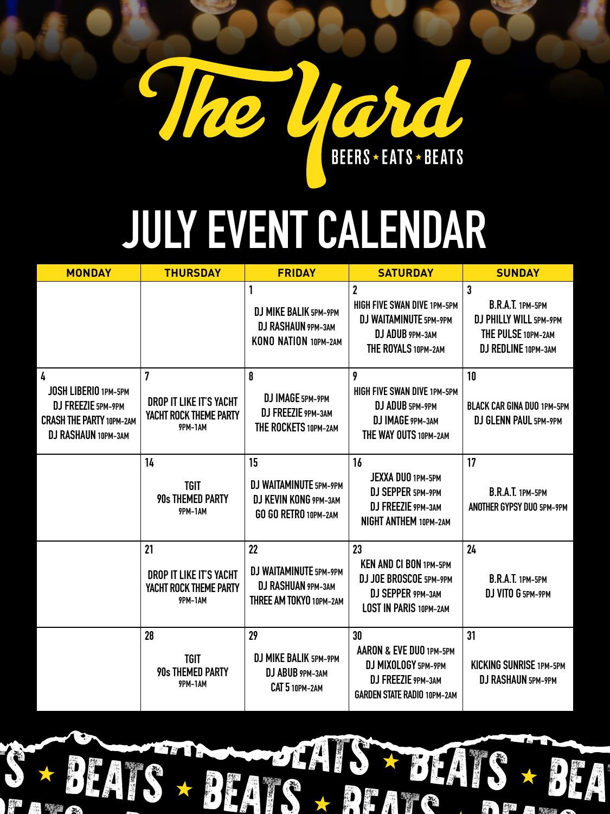

## **JULY EVENT CALENDAR**

| $\overline{2}$<br>$\mathbf 3$<br>B.R.A.T. 1PM-5PM<br>HIGH FIVE SWAN DIVE 1PM-5PM<br>DJ MIKE BALIK 5PM-9PM<br>DJ WAITAMINUTE 5PM-9PM<br>DJ PHILLY WILL 5PM-9PM<br>DJ RASHAUN 9PM-3AM<br>DJ ADUB 9PM-3AM<br>THE PULSE 10PM-2AM<br>KONO NATION 10PM-2AM<br>DJ REDLINE 10PM-3AM<br>THE ROYALS 10PM-2AM<br>7<br>10<br>4<br>8<br>9<br>JOSH LIBERIO 1PM-5PM<br>HIGH FIVE SWAN DIVE 1PM-5PM<br>DJ IMAGE 5PM-9PM<br>DROP IT LIKE IT'S YACHT<br>DJ FREEZIE 5PM-9PM<br>DJ ADUB 5PM-9PM<br>DJ FREEZIE 9PM-3AM<br>Yacht Rock Theme Party<br><b>CRASH THE PARTY 10PM-2AM</b><br>DJ GLENN PAUL 5PM-9PM<br>DJ IMAGE 9PM-3AM<br>THE ROCKETS 10PM-2AM<br>9PM-1AM<br>DJ RASHAUN 10PM-3AM<br>THE WAY OUTS 10PM-2AM<br>15<br>16<br>17<br>14<br><b>JEXXA DUO 1PM-5PM</b><br>DJ WAITAMINUTE 5PM-9PM<br><b>TGIT</b><br>B.R.A.T. 1PM-5PM<br>DJ SEPPER 5PM-9PM<br><b>90s THEMED PARTY</b><br>DJ KEVIN KONG 9PM-3AM<br>DJ FREEZIE 9PM-3AM<br>9PM-1AM<br>GO GO RETRO 10PM-2AM<br><b>NIGHT ANTHEM 10PM-2AM</b><br>21<br>24<br>22<br>23<br><b>KEN AND CI BON 1PM-5PM</b><br>DJ WAITAMINUTE 5PM-9PM<br>DROP IT LIKE IT'S YACHT<br>B.R.A.T. 1PM-5PM<br>DJ JOE BROSCOE 5PM-9PM<br>DJ RASHUAN 9PM-3AM<br>YACHT ROCK THEME PARTY<br>DJ SEPPER 9PM-3AM<br>DJ VITO G 5PM-9PM<br>9PM-1AM<br>THREE AM TOKYO 10PM-2AM<br><b>LOST IN PARIS 10PM-2AM</b><br>28<br>29<br>31<br>30<br>AARON & EVE DUO 1PM-5PM<br>DJ MIKE BALIK 5PM-9PM<br><b>TGIT</b><br>DJ MIXOLOGY 5PM-9PM<br><b>KICKING SUNRISE 1PM-5PM</b><br><b>90s THEMED PARTY</b><br>DJ ABUB 9PM-3AM<br>DJ FREEZIE 9PM-3AM<br>DJ RASHAUN 5PM-9PM<br>9PM-1AM<br>CAT 5 10PM-2AM<br><b>GARDEN STATE RADIO 10PM-2AM</b> | <b>BLACK CAR GINA DUO 1PM-5PM</b><br>ANOTHER GYPSY DUO 5PM-9PM<br>S SEATS + BEATS + BEATS + BEA | <b>MONDAY</b> | <b>THURSDAY</b> | <b>FRIDAY</b> | <b>SATURDAY</b> | <b>SUNDAY</b> |
|---------------------------------------------------------------------------------------------------------------------------------------------------------------------------------------------------------------------------------------------------------------------------------------------------------------------------------------------------------------------------------------------------------------------------------------------------------------------------------------------------------------------------------------------------------------------------------------------------------------------------------------------------------------------------------------------------------------------------------------------------------------------------------------------------------------------------------------------------------------------------------------------------------------------------------------------------------------------------------------------------------------------------------------------------------------------------------------------------------------------------------------------------------------------------------------------------------------------------------------------------------------------------------------------------------------------------------------------------------------------------------------------------------------------------------------------------------------------------------------------------------------------------------------------------------------------------------------------------------------------------------|-------------------------------------------------------------------------------------------------|---------------|-----------------|---------------|-----------------|---------------|
|                                                                                                                                                                                                                                                                                                                                                                                                                                                                                                                                                                                                                                                                                                                                                                                                                                                                                                                                                                                                                                                                                                                                                                                                                                                                                                                                                                                                                                                                                                                                                                                                                                 |                                                                                                 |               |                 |               |                 |               |
|                                                                                                                                                                                                                                                                                                                                                                                                                                                                                                                                                                                                                                                                                                                                                                                                                                                                                                                                                                                                                                                                                                                                                                                                                                                                                                                                                                                                                                                                                                                                                                                                                                 |                                                                                                 |               |                 |               |                 |               |
|                                                                                                                                                                                                                                                                                                                                                                                                                                                                                                                                                                                                                                                                                                                                                                                                                                                                                                                                                                                                                                                                                                                                                                                                                                                                                                                                                                                                                                                                                                                                                                                                                                 |                                                                                                 |               |                 |               |                 |               |
|                                                                                                                                                                                                                                                                                                                                                                                                                                                                                                                                                                                                                                                                                                                                                                                                                                                                                                                                                                                                                                                                                                                                                                                                                                                                                                                                                                                                                                                                                                                                                                                                                                 |                                                                                                 |               |                 |               |                 |               |
|                                                                                                                                                                                                                                                                                                                                                                                                                                                                                                                                                                                                                                                                                                                                                                                                                                                                                                                                                                                                                                                                                                                                                                                                                                                                                                                                                                                                                                                                                                                                                                                                                                 |                                                                                                 |               |                 |               |                 |               |

S BEATS BEATS BEATS BEATS

BEATS BEATS BEATS BEATS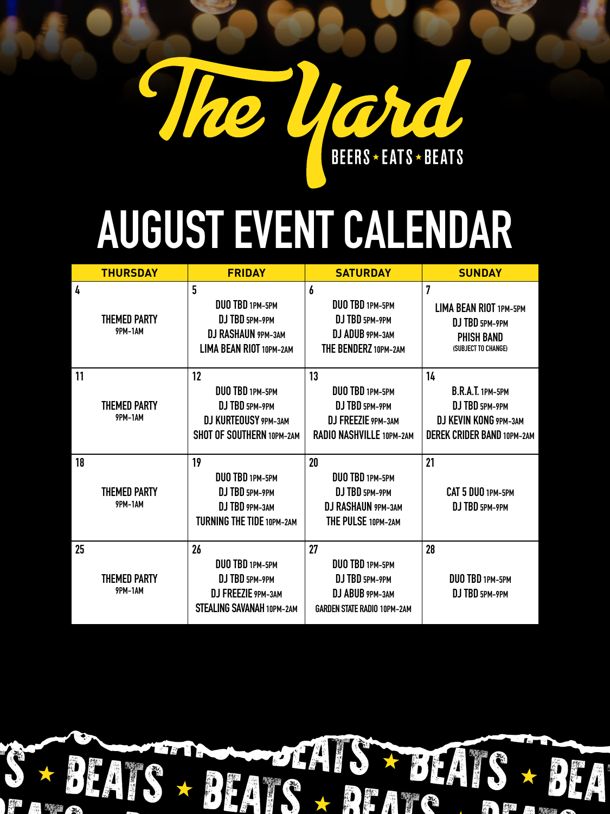

### **AUGUST EVENT CALENDAR**

|    | <b>THURSDAY</b>                | <b>FRIDAY</b>                                                                                       | <b>SATURDAY</b>                                                                                  | <b>SUNDAY</b>                                                                                                 |
|----|--------------------------------|-----------------------------------------------------------------------------------------------------|--------------------------------------------------------------------------------------------------|---------------------------------------------------------------------------------------------------------------|
| 4  | <b>THEMED PARTY</b><br>9PM-1AM | 5<br>DUO TBD 1PM-5PM<br>DJ TBD 5PM-9PM<br><b>DJ RASHAUN 9PM-3AM</b><br>LIMA BEAN RIOT 10PM-2AM      | 6<br>DUO TBD 1PM-5PM<br>DJ TBD 5PM-9PM<br>DJ ADUB 9PM-3AM<br>THE BENDERZ 10PM-2AM                | 7<br>LIMA BEAN RIOT 1PM-5PM<br>DJ TBD 5PM-9PM<br><b>PHISH BAND</b><br>(SUBJECT TO CHANGE)                     |
| 11 | <b>THEMED PARTY</b><br>9PM-1AM | 12<br>DUO TBD 1PM-5PM<br>DJ TBD 5PM-9PM<br><b>DJ KURTEOUSY 9PM-3AM</b><br>SHOT OF SOUTHERN 10PM-2AM | 13<br>DUO TBD 1PM-5PM<br>DJ TBD 5PM-9PM<br>DJ FREEZIE 9PM-3AM<br>RADIO NASHVILLE 10PM-2AM        | 14<br><b>B.R.A.T. 1PM-5PM</b><br>DJ TBD 5PM-9PM<br>DJ KEVIN KONG 9PM-3AM<br><b>DEREK CRIDER BAND 10PM-2AM</b> |
| 18 | <b>THEMED PARTY</b><br>9PM-1AM | 19<br>DUO TBD 1PM-5PM<br>DJ TBD 5PM-9PM<br>DJ TBD 9PM-3AM<br><b>TURNING THE TIDE 10PM-2AM</b>       | 20<br>DUO TBD 1PM-5PM<br>DJ TBD 5PM-9PM<br><b>DJ RASHAUN 9PM-3AM</b><br>THE PULSE 10PM-2AM       | 21<br>CAT 5 DUO 1PM-5PM<br>DJ TBD 5PM-9PM                                                                     |
| 25 | <b>THEMED PARTY</b><br>9PM-1AM | 26<br>DUO TBD 1PM-5PM<br>DJ TBD 5PM-9PM<br>DJ FREEZIE 9PM-3AM<br>STEALING SAVANAH 10PM-2AM          | 27<br>DUO TBD 1PM-5PM<br>DJ TBD 5PM-9PM<br>DJ ABUB 9PM-3AM<br><b>GARDEN STATE RADIO 10PM-2AM</b> | 28<br>DUO TBD 1PM-5PM<br>DJ TBD 5PM-9PM                                                                       |